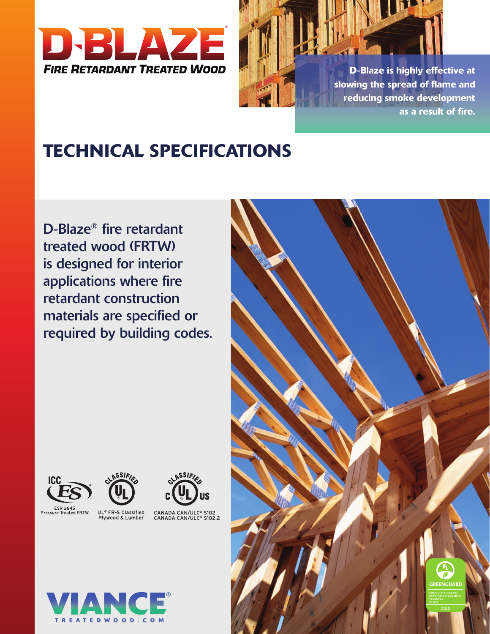



# TECHNICAL SPECIFICATIONS

D-Blaze® fire retardant treated wood (FRTW) is designed for interior applications where fire retardant construction materials are specified or required by building codes.







CANADA CAN/ULC® S102<br>CANADA CAN/ULC® S102.2



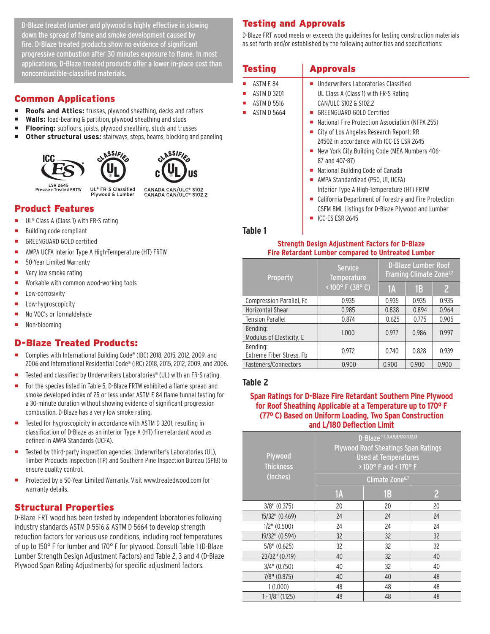D-Blaze treated lumber and plywood is highly effective in slowing down the spread of flame and smoke development caused by fire. D-Blaze treated products show no evidence of significant progressive combustion after 30 minutes exposure to flame. In most applications, D-Blaze treated products offer a lower in-place cost than noncombustible-classified materials.

# Common Applications

- **Roofs and Attics:** trusses, plywood sheathing, decks and rafters
- **Walls:** load-bearing & partition, plywood sheathing and studs
- **Flooring:** subfloors, joists, plywood sheathing, studs and trusses
- Other structural uses: stairways, steps, beams, blocking and paneling

ASSIFIC





ESR 2645<br>Pressure Treated FRTW

UL® FR-S Classified CANADA CAN/ULC® S102<br>CANADA CAN/ULC® S102.2 Plywood & Lumber

# Product Features

- UL<sup>®</sup> Class A (Class 1) with FR-S rating
- Building code compliant
- GREENGUARD GOLD certified
- AWPA UCFA Interior Type A High-Temperature (HT) FRTW
- 50-Year Limited Warranty
- Very low smoke rating
- Workable with common wood-working tools
- **E** Low-corrosivity
- Low-hygroscopicity
- No VOC's or formaldehyde
- Non-blooming

# D-Blaze Treated Products:

- ¡ Complies with International Building Code® (IBC) 2018, 2015, 2012, 2009, and 2006 and International Residential Code® (IRC) 2018, 2015, 2012, 2009, and 2006.
- Tested and classified by Underwriters Laboratories® (UL) with an FR-S rating.
- For the species listed in Table 5, D-Blaze FRTW exhibited a flame spread and smoke developed index of 25 or less under ASTM E 84 flame tunnel testing for a 30-minute duration without showing evidence of significant progression combustion. D-Blaze has a very low smoke rating.
- Tested for hygroscopicity in accordance with ASTM D 3201, resulting in classification of D-Blaze as an interior Type A (HT) fire-retardant wood as defined in AWPA Standards (UCFA).
- Tested by third-party inspection agencies: Underwriter's Laboratories (UL), Timber Products Inspection (TP) and Southern Pine Inspection Bureau (SPIB) to ensure quality control.
- ¡ Protected by a 50-Year Limited Warranty. Visit www.treatedwood.com for warranty details.

# Structural Properties

D-Blaze FRT wood has been tested by independent laboratories following industry standards ASTM D 5516 & ASTM D 5664 to develop strength reduction factors for various use conditions, including roof temperatures of up to 150° F for lumber and 170° F for plywood. Consult Table 1 (D-Blaze Lumber Strength Design Adjustment Factors) and Table 2, 3 and 4 (D-Blaze Plywood Span Rating Adjustments) for specific adjustment factors.

# Testing and Approvals

D-Blaze FRT wood meets or exceeds the guidelines for testing construction materials as set forth and/or established by the following authorities and specifications:

| <b>Testing</b>     | <b>Approvals</b>                                      |
|--------------------|-------------------------------------------------------|
| ASTM F 84          | Underwriters Laboratories Classified                  |
| <b>ASTM D 3201</b> | UL Class A (Class 1) with FR-S Rating                 |
| ASTM D 5516<br>ш   | CAN/ULC S102 & S102.2                                 |
| <b>ASTM D 5664</b> | GREENGUARD GOLD Certified                             |
|                    | National Fire Protection Association (NFPA 255)       |
|                    | City of Los Angeles Research Report: RR               |
|                    | 24502 in accordance with ICC-ES ESR 2645              |
|                    | New York City Building Code (MEA Numbers 406-         |
|                    | 87 and 407-87)                                        |
|                    | National Building Code of Canada                      |
|                    | AWPA Standardized (P50, U1, UCFA)                     |
|                    | Interior Type A High-Temperature (HT) FRTW            |
|                    | California Department of Forestry and Fire Protection |
|                    | CSFM BML Listings for D-Blaze Plywood and Lumber      |
|                    | ICC-ES ESR-2645                                       |

**Table 1**

#### **Strength Design Adjustment Factors for D-Blaze Fire Retardant Lumber compared to Untreated Lumber**

| Property                             | <b>Service</b><br>Temperature<br>$\leq 100^{\circ}$ F (38° C) | <b>D-Blaze Lumber Roof</b><br>Framing Climate Zone <sup>1,2</sup> |       |                |
|--------------------------------------|---------------------------------------------------------------|-------------------------------------------------------------------|-------|----------------|
|                                      |                                                               | <b>1A</b>                                                         | 1B    | $\overline{2}$ |
| <b>Compression Parallel, Fc</b>      | 0.935                                                         | 0.935                                                             | 0.935 | 0.935          |
| <b>Horizontal Shear</b>              | 0.985                                                         | 0.838                                                             | 0.894 | 0.964          |
| <b>Tension Parallel</b>              | 0.874                                                         | 0.625                                                             | 0.775 | 0.905          |
| Bending:<br>Modulus of Elasticity, E | 1.000                                                         | 0.977                                                             | 0.986 | 0.997          |
| Bending:<br>Extreme Fiber Stress, Fb | 0.972                                                         | 0.740                                                             | 0.828 | 0.939          |
| Fasteners/Connectors                 | 0.900                                                         | 0.900                                                             | 0.900 | 0.900          |

#### **Table 2**

#### **Span Ratings for D-Blaze Fire Retardant Southern Pine Plywood for Roof Sheathing Applicable at a Temperature up to 170º F (77º C) Based on Uniform Loading, Two Span Construction and L/180 Deflection Limit**

| Plywood<br><b>Thickness</b><br>(Inches) | D-Blaze <sup>1,2,3,4,5,8,9,10,11,12,13</sup><br><b>Plywood Roof Sheatings Span Ratings</b><br><b>Used at Temperatures</b><br>> 100° F and < 170° F |    |                |  |
|-----------------------------------------|----------------------------------------------------------------------------------------------------------------------------------------------------|----|----------------|--|
|                                         | Climate Zone <sup>6,7</sup>                                                                                                                        |    |                |  |
|                                         | 1A                                                                                                                                                 | 1B | $\overline{2}$ |  |
| $3/8$ " (0.375)                         | 20                                                                                                                                                 | 20 | 20             |  |
| 15/32" (0.469)                          | 24                                                                                                                                                 | 24 | 24             |  |
| $1/2$ " (0.500)                         | 24                                                                                                                                                 | 24 | 24             |  |
| 19/32" (0.594)                          | 32                                                                                                                                                 | 32 | 32             |  |
| $5/8$ " (0.625)                         | 32                                                                                                                                                 | 32 | 32             |  |
| 23/32" (0.719)                          | 40                                                                                                                                                 | 32 | 40             |  |
| $3/4$ " (0.750)                         | 40                                                                                                                                                 | 32 | 40             |  |
| $7/8$ " (0.875)                         | 40                                                                                                                                                 | 40 | 48             |  |
| 1(1.000)                                | 48                                                                                                                                                 | 48 | 48             |  |
| $1 - 1/8$ " (1.125)                     | 48                                                                                                                                                 | 48 | 48             |  |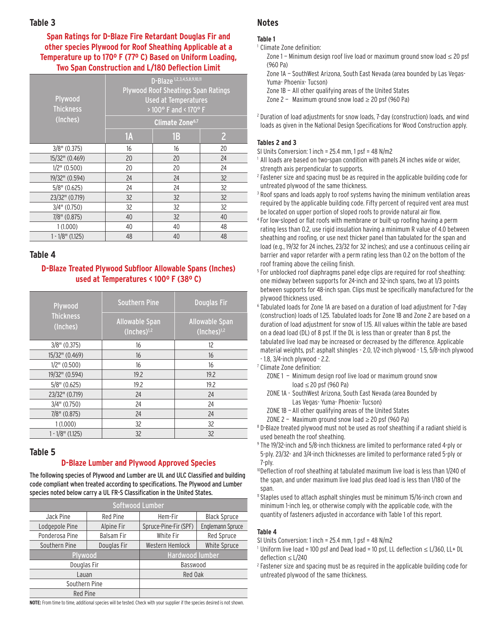#### **Table 3**

**Span Ratings for D-Blaze Fire Retardant Douglas Fir and other species Plywood for Roof Sheathing Applicable at a Temperature up to 170º F (77º C) Based on Uniform Loading, Two Span Construction and L/180 Deflection Limit**

| Plywood<br><b>Thickness</b><br>(Inches) | D-Blaze 1,2,3,4,5,8,9,10,11<br><b>Plywood Roof Sheatings Span Ratings</b><br><b>Used at Temperatures</b><br>>100° F and <170° F |    |                |  |
|-----------------------------------------|---------------------------------------------------------------------------------------------------------------------------------|----|----------------|--|
|                                         | Climate Zone <sup>6,7</sup>                                                                                                     |    |                |  |
|                                         | 1A                                                                                                                              | 1B | $\overline{2}$ |  |
| $3/8$ " (0.375)                         | 16                                                                                                                              | 16 | 20             |  |
| 15/32" (0.469)                          | 20                                                                                                                              | 20 | 24             |  |
| $1/2$ " (0.500)                         | 20                                                                                                                              | 20 | 24             |  |
| 19/32" (0.594)                          | 24                                                                                                                              | 24 | 32             |  |
| $5/8$ " (0.625)                         | 24                                                                                                                              | 24 | 32             |  |
| 23/32" (0.719)                          | 32                                                                                                                              | 32 | 32             |  |
| $3/4$ " (0.750)                         | 32                                                                                                                              | 32 | 32             |  |
| $7/8$ " (0.875)                         | 40                                                                                                                              | 32 | 40             |  |
| 1(1.000)                                | 40                                                                                                                              | 40 | 48             |  |
| $1 - 1/8$ " (1.125)                     | 48                                                                                                                              | 40 | 48             |  |

#### **Table 4**

#### **D-Blaze Treated Plywood Subfloor Allowable Spans (Inches) used at Temperatures < 100º F (38º C)**

| Plywood                      | <b>Douglas Fir</b><br><b>Southern Pine</b> |                                           |
|------------------------------|--------------------------------------------|-------------------------------------------|
| <b>Thickness</b><br>(Inches) | <b>Allowable Span</b><br>$(Inches)^{1,2}$  | <b>Allowable Span</b><br>$(Inches)^{1,2}$ |
| $3/8$ " (0.375)              | 16                                         | 12                                        |
| 15/32" (0.469)               | 16                                         | 16                                        |
| $1/2$ " (0.500)              | 16                                         | 16                                        |
| 19/32" (0.594)               | 19.2                                       | 19.2                                      |
| $5/8$ " (0.625)              | 19.2                                       | 19.2                                      |
| 23/32" (0.719)               | 24                                         | 24                                        |
| $3/4$ " (0.750)              | 24                                         | 24                                        |
| $7/8$ " (0.875)              | 24                                         | 24                                        |
| 1(1.000)                     | 32                                         | 32                                        |
| $1 - 1/8$ " (1.125)          | 32                                         | 32                                        |

#### **Table 5**

#### **D-Blaze Lumber and Plywood Approved Species**

The following species of Plywood and Lumber are UL and ULC Classified and building code compliant when treated according to specifications. The Plywood and Lumber species noted below carry a UL FR-S Classification in the United States.

| Softwood Lumber |                   |                       |                     |  |
|-----------------|-------------------|-----------------------|---------------------|--|
| Jack Pine       | <b>Red Pine</b>   | Hem-Fir               | <b>Black Spruce</b> |  |
| Lodgepole Pine  | Alpine Fir        | Spruce-Pine-Fir (SPF) | Englemann Spruce    |  |
| Ponderosa Pine  | <b>Balsam Fir</b> | White Fir             | Red Spruce          |  |
| Southern Pine   | Douglas Fir       | Western Hemlock       | White Spruce        |  |
| Plywood         |                   | Hardwood lumber       |                     |  |
| Douglas Fir     |                   | Basswood              |                     |  |
| Lauan           |                   | Red Oak               |                     |  |
| Southern Pine   |                   |                       |                     |  |
| <b>Red Pine</b> |                   |                       |                     |  |

**NOTE:** From time to time, additional species will be tested. Check with your supplier if the species desired is not shown.

# **Notes**

#### **Table 1**

- 1 Climate Zone definition:
	- Zone 1 Minimum design roof live load or maximum ground snow load ≤ 20 psf (960 Pa)
	- Zone 1A SouthWest Arizona, South East Nevada (area bounded by Las Vegas- Yuma- Phoenix- Tucson)
	- Zone 1B All other qualifying areas of the United States
	- Zone 2 Maximum ground snow load  $\geq$  20 psf (960 Pa)
- <sup>2</sup> Duration of load adjustments for snow loads, 7-day (construction) loads, and wind loads as given in the National Design Specifications for Wood Construction apply.

#### **Tables 2 and 3**

SI Units Conversion: 1 inch = 25.4 mm, 1 psf = 48 N/m2

- <sup>1</sup> All loads are based on two-span condition with panels 24 inches wide or wider, strength axis perpendicular to supports.
- <sup>2</sup> Fastener size and spacing must be as required in the applicable building code for untreated plywood of the same thickness.
- <sup>3</sup> Roof spans and loads apply to roof systems having the minimum ventilation areas required by the applicable building code. Fifty percent of required vent area must be located on upper portion of sloped roofs to provide natural air flow.
- <sup>4</sup> For low-sloped or flat roofs with membrane or built-up roofing having a perm rating less than 0.2, use rigid insulation having a minimum R value of 4.0 between sheathing and roofing, or use next thicker panel than tabulated for the span and load (e.g., 19/32 for 24 inches, 23/32 for 32 inches); and use a continuous ceiling air barrier and vapor retarder with a perm rating less than 0.2 on the bottom of the roof framing above the ceiling finish.
- <sup>5</sup> For unblocked roof diaphragms panel edge clips are required for roof sheathing: one midway between supports for 24-inch and 32-inch spans, two at 1/3 points between supports for 48-inch span. Clips must be specifically manufactured for the plywood thickness used.
- <sup>6</sup> Tabulated loads for Zone 1A are based on a duration of load adjustment for 7-day (construction) loads of 1.25. Tabulated loads for Zone 1B and Zone 2 are based on a duration of load adjustment for snow of 1.15. All values within the table are based on a dead load (DL) of 8 psf. If the DL is less than or greater than 8 psf, the tabulated live load may be increased or decreased by the difference. Applicable material weights, psf: asphalt shingles - 2.0, 1/2-inch plywood - 1.5, 5/8-inch plywood - 1.8, 3/4-inch plywood - 2.2.
- <sup>7</sup> Climate Zone definition:
	- ZONE 1 Minimum design roof live load or maximum ground snow load ≤ 20 psf (960 Pa)
	- ZONE 1A SouthWest Arizona, South East Nevada (area Bounded by Las Vegas- Yuma- Phoenix- Tucson)
	- ZONE 1B All other qualifying areas of the United States
	- ZONE 2 Maximum ground snow load  $\geq$  20 psf (960 Pa)
- <sup>8</sup> D-Blaze treated plywood must not be used as roof sheathing if a radiant shield is used beneath the roof sheathing.
- <sup>9</sup> The 19/32-inch and 5/8-inch thickness are limited to performance rated 4-ply or 5-ply. 23/32- and 3/4-inch thicknesses are limited to performance rated 5-ply or 7-ply.
- 10Deflection of roof sheathing at tabulated maximum live load is less than 1/240 of the span, and under maximum live load plus dead load is less than 1/180 of the span.
- <sup>11</sup> Staples used to attach asphalt shingles must be minimum 15/16-inch crown and minimum 1-inch leg, or otherwise comply with the applicable code, with the quantity of fasteners adjusted in accordance with Table 1 of this report.

#### **Table 4**

- SI Units Conversion: 1 inch = 25.4 mm, 1 psf = 48 N/m2
- <sup>1</sup> Uniform live load = 100 psf and Dead load = 10 psf, LL deflection ≤ L/360, LL+ DL deflection ≤ L/240
- <sup>2</sup> Fastener size and spacing must be as required in the applicable building code for untreated plywood of the same thickness.